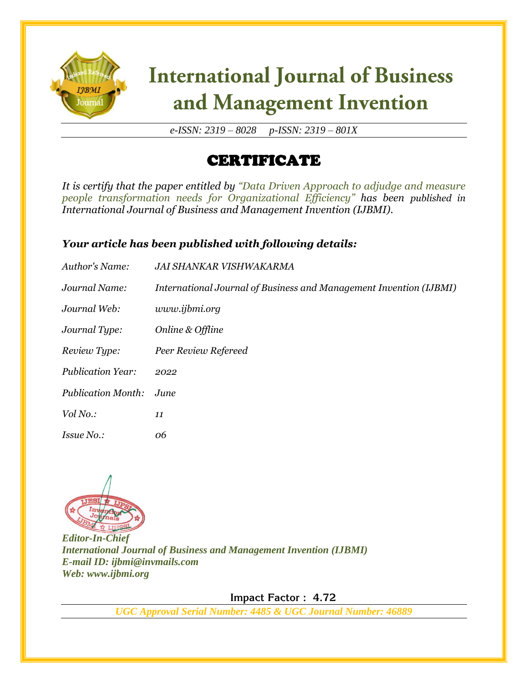

# **International Journal of Business** and Management Invention

*e-ISSN: 2319 – 8028 p-ISSN: 2319 – 801X*

### CERTIFICATE

*It is certify that the paper entitled by "Data Driven Approach to adjudge and measure people transformation needs for Organizational Efficiency" has been published in International Journal of Business and Management Invention (IJBMI).*

#### *Your article has been published with following details:*

| Author's Name:            | JAI SHANKAR VISHWAKARMA                                            |
|---------------------------|--------------------------------------------------------------------|
| Journal Name:             | International Journal of Business and Management Invention (IJBMI) |
| Journal Web:              | www.ijbmi.org                                                      |
| Journal Type:             | Online & Offline                                                   |
| Review Type:              | Peer Review Refereed                                               |
| <b>Publication Year:</b>  | 2022                                                               |
| <b>Publication Month:</b> | June                                                               |
| Vol No.:                  | 11                                                                 |
| <i>Issue No.:</i>         | 06                                                                 |



*Editor-In-Chief International Journal of Business and Management Invention (IJBMI) E-mail ID: ijbmi@invmails.com Web: www.ijbmi.org*

 **Impact Factor : 4.72** 

*UGC Approval Serial Number: 4485 & UGC Journal Number: 46889*